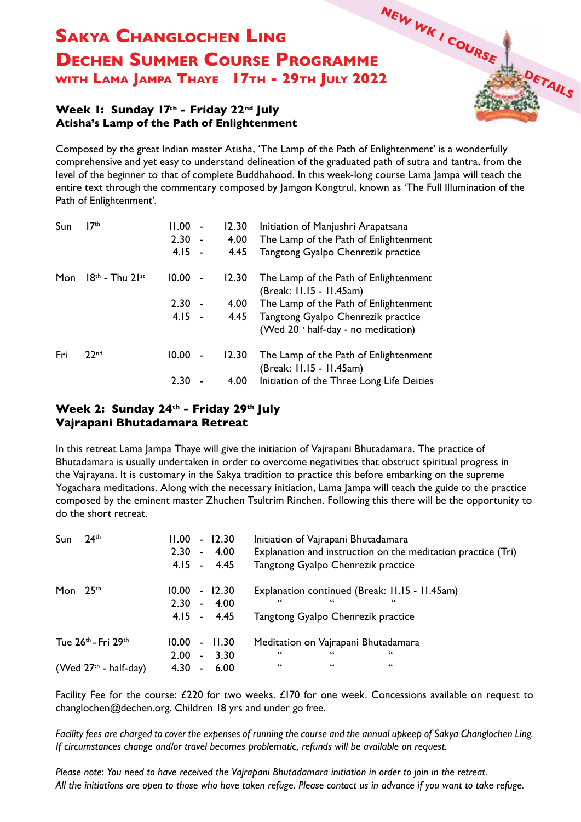# **NEW WK 1 COURSE DETAILS Sakya Changlochen Ling Dechen Summer Course Programme with Lama Jampa Thaye 17th - 29th July 2022**

### **Week 1: Sunday 17th - Friday 22nd July Atisha's Lamp of the Path of Enlightenment**

Composed by the great Indian master Atisha, 'The Lamp of the Path of Enlightenment' is a wonderfully comprehensive and yet easy to understand delineation of the graduated path of sutra and tantra, from the level of the beginner to that of complete Buddhahood. In this week-long course Lama Jampa will teach the entire text through the commentary composed by Jamgon Kongtrul, known as 'The Full Illumination of the Path of Enlightenment'.

| Sun | 17 <sup>th</sup>    | 11.00                   | 12.30 | Initiation of Manjushri Arapatsana                                                    |
|-----|---------------------|-------------------------|-------|---------------------------------------------------------------------------------------|
|     |                     | 2.30<br>$\blacksquare$  | 4.00  | The Lamp of the Path of Enlightenment                                                 |
|     |                     | $4.15 -$                | 4.45  | Tangtong Gyalpo Chenrezik practice                                                    |
| Mon | $18th$ - Thu $21st$ | 10.00<br>$\overline{a}$ | 12.30 | The Lamp of the Path of Enlightenment<br>(Break: 11.15 - 11.45am)                     |
|     |                     | 2.30                    | 4.00  | The Lamp of the Path of Enlightenment                                                 |
|     |                     | $4.15 -$                | 4.45  | Tangtong Gyalpo Chenrezik practice<br>(Wed 20 <sup>th</sup> half-day - no meditation) |
| Fri | 22 <sub>nd</sub>    | 10.00<br>ä,             | 12.30 | The Lamp of the Path of Enlightenment<br>(Break: 11.15 - 11.45am)                     |
|     |                     | 2.30                    | 4.00  | Initiation of the Three Long Life Deities                                             |

## **Week 2: Sunday 24th - Friday 29th July Vajrapani Bhutadamara Retreat**

In this retreat Lama Jampa Thaye will give the initiation of Vajrapani Bhutadamara. The practice of Bhutadamara is usually undertaken in order to overcome negativities that obstruct spiritual progress in the Vajrayana. It is customary in the Sakya tradition to practice this before embarking on the supreme Yogachara meditations. Along with the necessary initiation, Lama Jampa will teach the guide to the practice composed by the eminent master Zhuchen Tsultrim Rinchen. Following this there will be the opportunity to do the short retreat.

| Sun                                         | $24$ <sup>th</sup>      | 11.00<br>2.30 | $\mathbf{r}$   | $-12.30$<br>4.00<br>$4.15 - 4.45$ | Initiation of Vajrapani Bhutadamara<br>Explanation and instruction on the meditation practice (Tri)<br>Tangtong Gyalpo Chenrezik practice |
|---------------------------------------------|-------------------------|---------------|----------------|-----------------------------------|-------------------------------------------------------------------------------------------------------------------------------------------|
| Mon                                         | 2.5 <sup>th</sup>       | 10.00<br>2.30 | $\blacksquare$ | 12.30<br>$-4.00$<br>$4.15 - 4.45$ | Explanation continued (Break: 11.15 - 11.45am)<br>66<br>66<br>66<br>Tangtong Gyalpo Chenrezik practice                                    |
| Tue 26 <sup>th</sup> - Fri 29 <sup>th</sup> |                         | 10.00         | $\blacksquare$ | 11.30                             | Meditation on Vajrapani Bhutadamara                                                                                                       |
|                                             |                         | 2.00          | $\mathbf{r}$   | 3.30                              | 66<br>66<br>"                                                                                                                             |
|                                             | (Wed $27th$ - half-day) | 4.30          | $\blacksquare$ | 6.00                              | 66<br>66<br>66                                                                                                                            |

Facility Fee for the course: £220 for two weeks. £170 for one week. Concessions available on request to changlochen@dechen.org. Children 18 yrs and under go free.

*Facility fees are charged to cover the expenses of running the course and the annual upkeep of Sakya Changlochen Ling. If circumstances change and/or travel becomes problematic, refunds will be available on request.*

*Please note: You need to have received the Vajrapani Bhutadamara initiation in order to join in the retreat. All the initiations are open to those who have taken refuge. Please contact us in advance if you want to take refuge.*